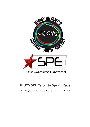

# **JBOYS SPE Calcutta Sprint Race**

at Callide Valley Touch football fields on Friday 8th November 2019 at 7:00pm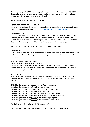SPE has joined up with JBOYS and we're getting very excited about our upcoming JBOYS SPE Calcutta Sprint Race. However we have discovered that there are a lot of people who have never attended a Calcutta nor know how it all works.

We're glad you asked and here's how it all works!

#### **NOMINATION/ ENTRY TO SPRINT RACE**

We need at least 10 men & women, 16 years and over to enter, all entries will need to fill out an entry form for clarification and to be sent t[o mmcdonald@starprecision.com.au](mailto:mmcdonald@starprecision.com.au)

#### **THE TICKET DRAW**

Tickets are \$50 each and are available both prior to and on the night. You can enter as many times as you like for more chances to win a runner (Minimum 100 tickets available). The Calcutta commences with one ticket being drawn for each runner in the JBOYS SPE Sprint Race. If your ticket is drawn, you 'own' 50% of that Person ahead of the auction stage!

All proceeds from the ticket draw go to JBOYS Inc. per below summary.

#### **THE AUCTION**

Each Runner will be auctioned to the attendees at the Calcutta, who have the opportunity to bid for that person. You can bid on your own, or you might choose to pool resources with others at your group.

After the hammer falls on each runner:

100% goes into the ever-growing prize pool.

The highest bidder in the auction stage becomes part owner with the ticket owner of that runner. Successful bidders must pay for their runner on the night – Cash and EFTPOS/Credit Card facilities may be available.

#### **AFTER THE RACE**

After the running of the JBOYS SPE Sprint Race, the prize pool (consisting of all of auction proceeds [estimated prize pool from history \$2000] plus \$1000 donated by SPE) is divided as follows:

20% of Total prize pool to the owners of the Male winning runner; 10% of Total prize pool to the first place Male runner; 20% of Total prize pool to the owners of the Female winning runner; 10% of Total prize pool to the first place Female runner; 10% of Total prize pool to the owners of the second Male placegetter; 10% of Total prize pool to the owners of the second Female placegetter; and 5% of Total prize pool to the owners of the third Male placegetter. 5% of Total prize pool to the owners of the third Female placegetter.

\*10% will then be donated to the JBOYS organisation\*

JBOYS will also be donating merchandise for  $1<sup>st</sup>$ ,  $2<sup>nd</sup>$ ,  $3<sup>rd</sup>$  Male and Female runners.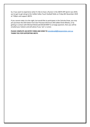So, if you want to experience what it's like to have a Runner in the JBOYS SPE Sprint race 2019, you've got to get along to the Callide Valley Touch football fields on Friday 8th November 2019 at 7:00pm and support JBOYS.

If you cannot make it to the night, but would like to participate in the Calcutta Draw, you may pre-purchase the \$50 tickets from Star Precision Electrical 148 Callide Street Biloela, or by getting in contact with Michael McDonald 0422676997 to arrange payment, then you will be emailed your ticket/s and will advise if you 'win' a runner.

**PLEASE COMPLETE AN ENTRY FORM AND SEND TO [mmcdonald@starprecision.com.au](mailto:mmcdonald@starprecision.com.au) THANK YOU FOR SUPPORTING JBOYS.**